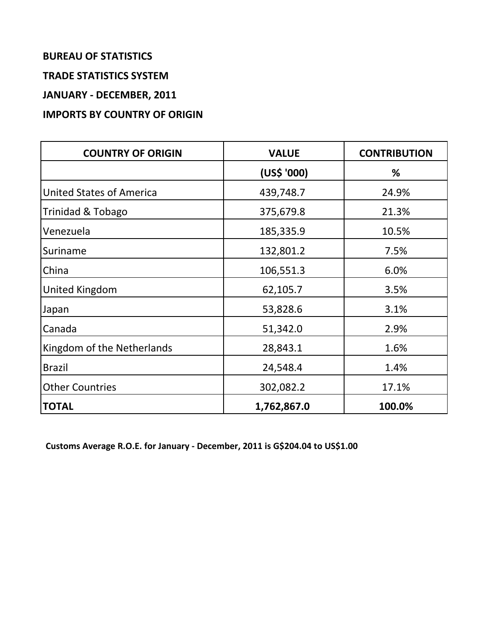# **BUREAU OF STATISTICS**

### **TRADE STATISTICS SYSTEM**

**JANUARY - DECEMBER, 2011**

## **IMPORTS BY COUNTRY OF ORIGIN**

| <b>COUNTRY OF ORIGIN</b>        | <b>VALUE</b> | <b>CONTRIBUTION</b> |
|---------------------------------|--------------|---------------------|
|                                 | (US\$ '000)  | %                   |
| <b>United States of America</b> | 439,748.7    | 24.9%               |
| Trinidad & Tobago               | 375,679.8    | 21.3%               |
| Venezuela                       | 185,335.9    | 10.5%               |
| Suriname                        | 132,801.2    | 7.5%                |
| China                           | 106,551.3    | 6.0%                |
| United Kingdom                  | 62,105.7     | 3.5%                |
| Japan                           | 53,828.6     | 3.1%                |
| Canada                          | 51,342.0     | 2.9%                |
| Kingdom of the Netherlands      | 28,843.1     | 1.6%                |
| <b>Brazil</b>                   | 24,548.4     | 1.4%                |
| <b>Other Countries</b>          | 302,082.2    | 17.1%               |
| <b>TOTAL</b>                    | 1,762,867.0  | 100.0%              |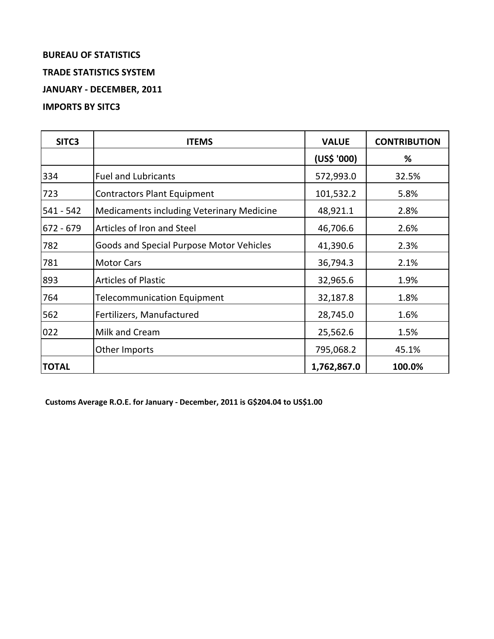# **BUREAU OF STATISTICS TRADE STATISTICS SYSTEM JANUARY - DECEMBER, 2011 IMPORTS BY SITC3**

| SITC <sub>3</sub> | <b>ITEMS</b>                                     | <b>VALUE</b> | <b>CONTRIBUTION</b> |
|-------------------|--------------------------------------------------|--------------|---------------------|
|                   |                                                  | (US\$ '000)  | %                   |
| 334               | <b>Fuel and Lubricants</b>                       | 572,993.0    | 32.5%               |
| 723               | <b>Contractors Plant Equipment</b>               | 101,532.2    | 5.8%                |
| 541 - 542         | <b>Medicaments including Veterinary Medicine</b> | 48,921.1     | 2.8%                |
| 672 - 679         | Articles of Iron and Steel                       | 46,706.6     | 2.6%                |
| 782               | Goods and Special Purpose Motor Vehicles         | 41,390.6     | 2.3%                |
| 781               | <b>Motor Cars</b>                                | 36,794.3     | 2.1%                |
| 893               | <b>Articles of Plastic</b>                       | 32,965.6     | 1.9%                |
| 764               | <b>Telecommunication Equipment</b>               | 32,187.8     | 1.8%                |
| 562               | Fertilizers, Manufactured                        | 28,745.0     | 1.6%                |
| 022               | Milk and Cream                                   | 25,562.6     | 1.5%                |
|                   | Other Imports                                    | 795,068.2    | 45.1%               |
| <b>TOTAL</b>      |                                                  | 1,762,867.0  | 100.0%              |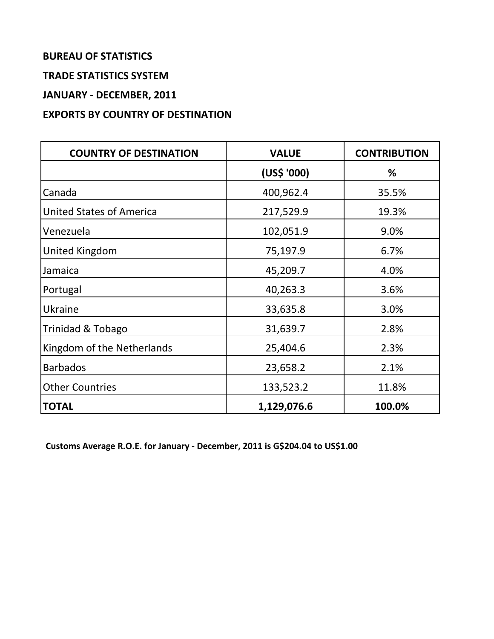# **BUREAU OF STATISTICS**

### **TRADE STATISTICS SYSTEM**

**JANUARY - DECEMBER, 2011**

## **EXPORTS BY COUNTRY OF DESTINATION**

| <b>COUNTRY OF DESTINATION</b>   | <b>VALUE</b> | <b>CONTRIBUTION</b> |
|---------------------------------|--------------|---------------------|
|                                 | (US\$ '000)  | %                   |
| Canada                          | 400,962.4    | 35.5%               |
| <b>United States of America</b> | 217,529.9    | 19.3%               |
| Venezuela                       | 102,051.9    | 9.0%                |
| United Kingdom                  | 75,197.9     | 6.7%                |
| Jamaica                         | 45,209.7     | 4.0%                |
| Portugal                        | 40,263.3     | 3.6%                |
| Ukraine                         | 33,635.8     | 3.0%                |
| Trinidad & Tobago               | 31,639.7     | 2.8%                |
| Kingdom of the Netherlands      | 25,404.6     | 2.3%                |
| <b>Barbados</b>                 | 23,658.2     | 2.1%                |
| <b>Other Countries</b>          | 133,523.2    | 11.8%               |
| <b>TOTAL</b>                    | 1,129,076.6  | 100.0%              |